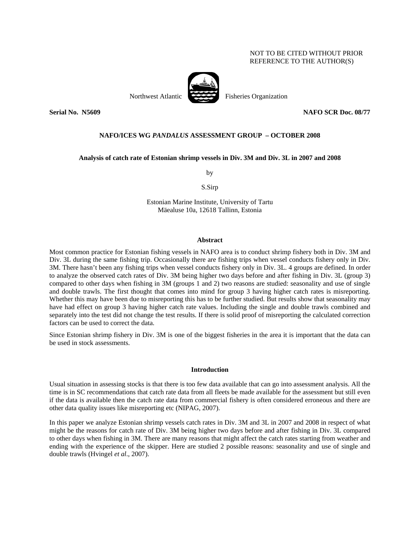# NOT TO BE CITED WITHOUT PRIOR REFERENCE TO THE AUTHOR(S)



Northwest Atlantic Fisheries Organization

## **Serial No. N5609 NAFO SCR Doc. 08/77**

### **NAFO/ICES WG** *PANDALUS* **ASSESSMENT GROUP – OCTOBER 2008**

## **Analysis of catch rate of Estonian shrimp vessels in Div. 3M and Div. 3L in 2007 and 2008**

by

S.Sirp

Estonian Marine Institute, University of Tartu Mäealuse 10a, 12618 Tallinn, Estonia

#### **Abstract**

Most common practice for Estonian fishing vessels in NAFO area is to conduct shrimp fishery both in Div. 3M and Div. 3L during the same fishing trip. Occasionally there are fishing trips when vessel conducts fishery only in Div. 3M. There hasn't been any fishing trips when vessel conducts fishery only in Div. 3L. 4 groups are defined. In order to analyze the observed catch rates of Div. 3M being higher two days before and after fishing in Div. 3L (group 3) compared to other days when fishing in 3M (groups 1 and 2) two reasons are studied: seasonality and use of single and double trawls. The first thought that comes into mind for group 3 having higher catch rates is misreporting. Whether this may have been due to misreporting this has to be further studied. But results show that seasonality may have had effect on group 3 having higher catch rate values. Including the single and double trawls combined and separately into the test did not change the test results. If there is solid proof of misreporting the calculated correction factors can be used to correct the data.

Since Estonian shrimp fishery in Div. 3M is one of the biggest fisheries in the area it is important that the data can be used in stock assessments.

## **Introduction**

Usual situation in assessing stocks is that there is too few data available that can go into assessment analysis. All the time is in SC recommendations that catch rate data from all fleets be made available for the assessment but still even if the data is available then the catch rate data from commercial fishery is often considered erroneous and there are other data quality issues like misreporting etc (NIPAG, 2007).

In this paper we analyze Estonian shrimp vessels catch rates in Div. 3M and 3L in 2007 and 2008 in respect of what might be the reasons for catch rate of Div. 3M being higher two days before and after fishing in Div. 3L compared to other days when fishing in 3M. There are many reasons that might affect the catch rates starting from weather and ending with the experience of the skipper. Here are studied 2 possible reasons: seasonality and use of single and double trawls (Hvingel *et al*., 2007).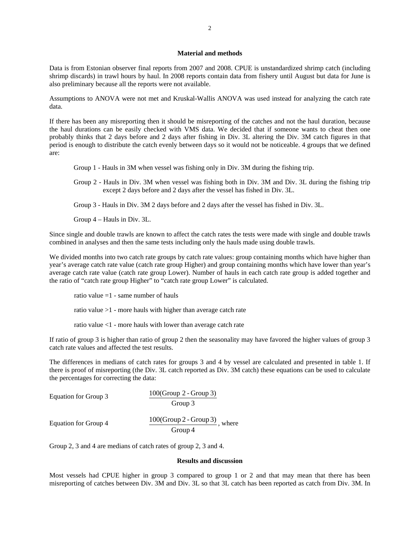### **Material and methods**

Data is from Estonian observer final reports from 2007 and 2008. CPUE is unstandardized shrimp catch (including shrimp discards) in trawl hours by haul. In 2008 reports contain data from fishery until August but data for June is also preliminary because all the reports were not available.

Assumptions to ANOVA were not met and Kruskal-Wallis ANOVA was used instead for analyzing the catch rate data.

If there has been any misreporting then it should be misreporting of the catches and not the haul duration, because the haul durations can be easily checked with VMS data. We decided that if someone wants to cheat then one probably thinks that 2 days before and 2 days after fishing in Div. 3L altering the Div. 3M catch figures in that period is enough to distribute the catch evenly between days so it would not be noticeable. 4 groups that we defined are:

Group 1 - Hauls in 3M when vessel was fishing only in Div. 3M during the fishing trip.

Group 2 - Hauls in Div. 3M when vessel was fishing both in Div. 3M and Div. 3L during the fishing trip except 2 days before and 2 days after the vessel has fished in Div. 3L.

Group 3 - Hauls in Div. 3M 2 days before and 2 days after the vessel has fished in Div. 3L.

Group 4 – Hauls in Div. 3L.

Since single and double trawls are known to affect the catch rates the tests were made with single and double trawls combined in analyses and then the same tests including only the hauls made using double trawls.

We divided months into two catch rate groups by catch rate values: group containing months which have higher than year's average catch rate value (catch rate group Higher) and group containing months which have lower than year's average catch rate value (catch rate group Lower). Number of hauls in each catch rate group is added together and the ratio of "catch rate group Higher" to "catch rate group Lower" is calculated.

ratio value  $=1$  - same number of hauls

ratio value >1 - more hauls with higher than average catch rate

ratio value <1 - more hauls with lower than average catch rate

If ratio of group 3 is higher than ratio of group 2 then the seasonality may have favored the higher values of group 3 catch rate values and affected the test results.

The differences in medians of catch rates for groups 3 and 4 by vessel are calculated and presented in table 1. If there is proof of misreporting (the Div. 3L catch reported as Div. 3M catch) these equations can be used to calculate the percentages for correcting the data:

| Equation for Group 3 | $100(Group 2 - Group 3)$<br>Group 3         |
|----------------------|---------------------------------------------|
| Equation for Group 4 | $100(Group 2 - Group 3)$ , where<br>Group 4 |

Group 2, 3 and 4 are medians of catch rates of group 2, 3 and 4.

#### **Results and discussion**

Most vessels had CPUE higher in group 3 compared to group 1 or 2 and that may mean that there has been misreporting of catches between Div. 3M and Div. 3L so that 3L catch has been reported as catch from Div. 3M. In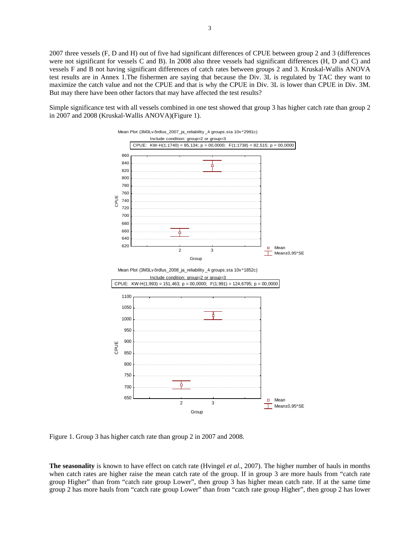2007 three vessels (F, D and H) out of five had significant differences of CPUE between group 2 and 3 (differences were not significant for vessels C and B). In 2008 also three vessels had significant differences (H, D and C) and vessels F and B not having significant differences of catch rates between groups 2 and 3. Kruskal-Wallis ANOVA test results are in Annex 1.The fishermen are saying that because the Div. 3L is regulated by TAC they want to maximize the catch value and not the CPUE and that is why the CPUE in Div. 3L is lower than CPUE in Div. 3M. But may there have been other factors that may have affected the test results?

Simple significance test with all vessels combined in one test showed that group 3 has higher catch rate than group 2 in 2007 and 2008 (Kruskal-Wallis ANOVA)(Figure 1).



Figure 1. Group 3 has higher catch rate than group 2 in 2007 and 2008.

**The seasonality** is known to have effect on catch rate (Hvingel *et al*., 2007). The higher number of hauls in months when catch rates are higher raise the mean catch rate of the group. If in group 3 are more hauls from "catch rate group Higher" than from "catch rate group Lower", then group 3 has higher mean catch rate. If at the same time group 2 has more hauls from "catch rate group Lower" than from "catch rate group Higher", then group 2 has lower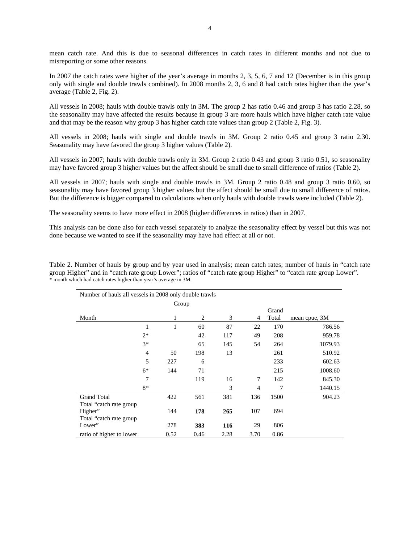mean catch rate. And this is due to seasonal differences in catch rates in different months and not due to misreporting or some other reasons.

In 2007 the catch rates were higher of the year's average in months 2, 3, 5, 6, 7 and 12 (December is in this group only with single and double trawls combined). In 2008 months 2, 3, 6 and 8 had catch rates higher than the year's average (Table 2, Fig. 2).

All vessels in 2008; hauls with double trawls only in 3M. The group 2 has ratio 0.46 and group 3 has ratio 2.28, so the seasonality may have affected the results because in group 3 are more hauls which have higher catch rate value and that may be the reason why group 3 has higher catch rate values than group 2 (Table 2, Fig. 3).

All vessels in 2008; hauls with single and double trawls in 3M. Group 2 ratio 0.45 and group 3 ratio 2.30. Seasonality may have favored the group 3 higher values (Table 2).

All vessels in 2007; hauls with double trawls only in 3M. Group 2 ratio 0.43 and group 3 ratio 0.51, so seasonality may have favored group 3 higher values but the affect should be small due to small difference of ratios (Table 2).

All vessels in 2007; hauls with single and double trawls in 3M. Group 2 ratio 0.48 and group 3 ratio 0.60, so seasonality may have favored group 3 higher values but the affect should be small due to small difference of ratios. But the difference is bigger compared to calculations when only hauls with double trawls were included (Table 2).

The seasonality seems to have more effect in 2008 (higher differences in ratios) than in 2007.

This analysis can be done also for each vessel separately to analyze the seasonality effect by vessel but this was not done because we wanted to see if the seasonality may have had effect at all or not.

Table 2. Number of hauls by group and by year used in analysis; mean catch rates; number of hauls in "catch rate group Higher" and in "catch rate group Lower"; ratios of "catch rate group Higher" to "catch rate group Lower". \* month which had catch rates higher than year's average in 3M.

| Number of hauls all vessels in 2008 only double trawls          |                |       |                |      |      |       |               |  |  |
|-----------------------------------------------------------------|----------------|-------|----------------|------|------|-------|---------------|--|--|
|                                                                 |                | Group |                |      |      |       |               |  |  |
|                                                                 |                |       |                |      |      | Grand |               |  |  |
| Month                                                           |                |       | $\overline{2}$ | 3    | 4    | Total | mean cpue, 3M |  |  |
|                                                                 | 1              | 1     | 60             | 87   | 22   | 170   | 786.56        |  |  |
|                                                                 | $2*$           |       | 42             | 117  | 49   | 208   | 959.78        |  |  |
|                                                                 | $3*$           |       | 65             | 145  | 54   | 264   | 1079.93       |  |  |
|                                                                 | $\overline{4}$ | 50    | 198            | 13   |      | 261   | 510.92        |  |  |
|                                                                 | 5              | 227   | 6              |      |      | 233   | 602.63        |  |  |
|                                                                 | $6*$           | 144   | 71             |      |      | 215   | 1008.60       |  |  |
|                                                                 | 7              |       | 119            | 16   | 7    | 142   | 845.30        |  |  |
|                                                                 | 8*             |       |                | 3    | 4    | 7     | 1440.15       |  |  |
| <b>Grand Total</b>                                              |                | 422   | 561            | 381  | 136  | 1500  | 904.23        |  |  |
| Total "catch rate group"<br>Higher"<br>Total "catch rate group" |                | 144   | 178            | 265  | 107  | 694   |               |  |  |
| Lower"                                                          |                | 278   | 383            | 116  | 29   | 806   |               |  |  |
| ratio of higher to lower                                        |                | 0.52  | 0.46           | 2.28 | 3.70 | 0.86  |               |  |  |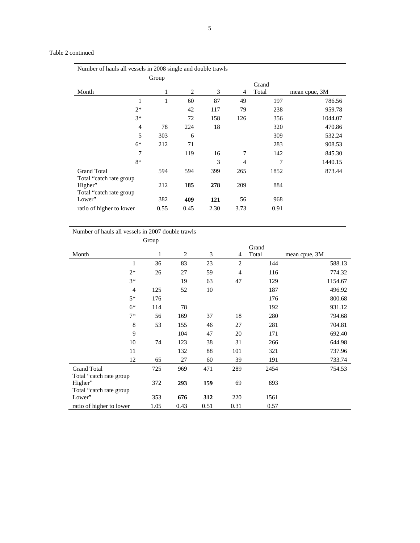## Table 2 continued

| Number of hauls all vessels in 2008 single and double trawls |       |      |      |      |       |               |  |  |
|--------------------------------------------------------------|-------|------|------|------|-------|---------------|--|--|
|                                                              | Group |      |      |      |       |               |  |  |
|                                                              |       |      |      |      | Grand |               |  |  |
| Month                                                        | 1     | 2    | 3    | 4    | Total | mean cpue, 3M |  |  |
| $\mathbf{1}$                                                 | 1     | 60   | 87   | 49   | 197   | 786.56        |  |  |
| $2*$                                                         |       | 42   | 117  | 79   | 238   | 959.78        |  |  |
| $3*$                                                         |       | 72   | 158  | 126  | 356   | 1044.07       |  |  |
| $\overline{4}$                                               | 78    | 224  | 18   |      | 320   | 470.86        |  |  |
| 5                                                            | 303   | 6    |      |      | 309   | 532.24        |  |  |
| $6*$                                                         | 212   | 71   |      |      | 283   | 908.53        |  |  |
| 7                                                            |       | 119  | 16   | 7    | 142   | 845.30        |  |  |
| 8*                                                           |       |      | 3    | 4    |       | 1440.15       |  |  |
| <b>Grand Total</b>                                           | 594   | 594  | 399  | 265  | 1852  | 873.44        |  |  |
| Total "catch rate group"                                     |       |      |      |      |       |               |  |  |
| Higher"                                                      | 212   | 185  | 278  | 209  | 884   |               |  |  |
| Total "catch rate group                                      |       |      |      |      |       |               |  |  |
| Lower"                                                       | 382   | 409  | 121  | 56   | 968   |               |  |  |
| ratio of higher to lower                                     | 0.55  | 0.45 | 2.30 | 3.73 | 0.91  |               |  |  |

# Number of hauls all vessels in 2007 double trawls

|                          | Group |                |      |                |       |               |
|--------------------------|-------|----------------|------|----------------|-------|---------------|
|                          |       |                |      |                | Grand |               |
| Month                    | 1     | $\overline{2}$ | 3    | 4              | Total | mean cpue, 3M |
| 1                        | 36    | 83             | 23   | $\overline{2}$ | 144   | 588.13        |
| $2*$                     | 26    | 27             | 59   | $\overline{4}$ | 116   | 774.32        |
| $3*$                     |       | 19             | 63   | 47             | 129   | 1154.67       |
| 4                        | 125   | 52             | 10   |                | 187   | 496.92        |
| $5*$                     | 176   |                |      |                | 176   | 800.68        |
| $6*$                     | 114   | 78             |      |                | 192   | 931.12        |
| $7*$                     | 56    | 169            | 37   | 18             | 280   | 794.68        |
| $\,$ 8 $\,$              | 53    | 155            | 46   | 27             | 281   | 704.81        |
| 9                        |       | 104            | 47   | 20             | 171   | 692.40        |
| 10                       | 74    | 123            | 38   | 31             | 266   | 644.98        |
| 11                       |       | 132            | 88   | 101            | 321   | 737.96        |
| 12                       | 65    | 27             | 60   | 39             | 191   | 733.74        |
| <b>Grand Total</b>       | 725   | 969            | 471  | 289            | 2454  | 754.53        |
| Total "catch rate group" |       |                |      |                |       |               |
| Higher"                  | 372   | 293            | 159  | 69             | 893   |               |
| Total "catch rate group" |       |                |      |                |       |               |
| Lower"                   | 353   | 676            | 312  | 220            | 1561  |               |
| ratio of higher to lower | 1.05  | 0.43           | 0.51 | 0.31           | 0.57  |               |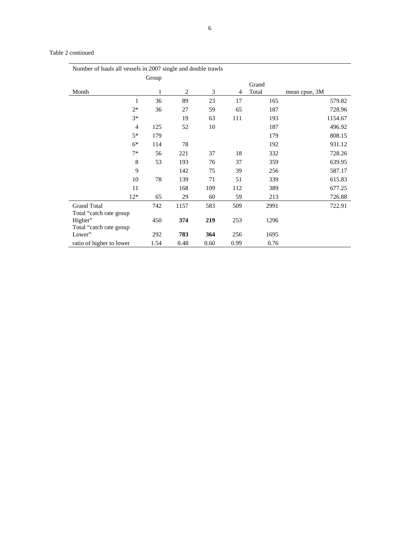# Table 2 continued

| Number of hauls all vessels in 2007 single and double trawls |       |                |      |      |       |               |  |
|--------------------------------------------------------------|-------|----------------|------|------|-------|---------------|--|
|                                                              | Group |                |      |      |       |               |  |
|                                                              |       |                |      |      | Grand |               |  |
| Month                                                        | 1     | $\overline{2}$ | 3    | 4    | Total | mean cpue, 3M |  |
| 1                                                            | 36    | 89             | 23   | 17   | 165   | 579.82        |  |
| $2*$                                                         | 36    | 27             | 59   | 65   | 187   | 728.96        |  |
| $3*$                                                         |       | 19             | 63   | 111  | 193   | 1154.67       |  |
| 4                                                            | 125   | 52             | 10   |      | 187   | 496.92        |  |
| $5*$                                                         | 179   |                |      |      | 179   | 808.15        |  |
| $6*$                                                         | 114   | 78             |      |      | 192   | 931.12        |  |
| $7*$                                                         | 56    | 221            | 37   | 18   | 332   | 728.26        |  |
| 8                                                            | 53    | 193            | 76   | 37   | 359   | 639.95        |  |
| 9                                                            |       | 142            | 75   | 39   | 256   | 587.17        |  |
| 10                                                           | 78    | 139            | 71   | 51   | 339   | 615.83        |  |
| 11                                                           |       | 168            | 109  | 112  | 389   | 677.25        |  |
| $12*$                                                        | 65    | 29             | 60   | 59   | 213   | 726.88        |  |
| <b>Grand Total</b>                                           | 742   | 1157           | 583  | 509  | 2991  | 722.91        |  |
| Total "catch rate group"                                     |       |                |      |      |       |               |  |
| Higher"                                                      | 450   | 374            | 219  | 253  | 1296  |               |  |
| Total "catch rate group"                                     |       |                |      |      |       |               |  |
| Lower"                                                       | 292   | 783            | 364  | 256  | 1695  |               |  |
| ratio of higher to lower                                     | 1.54  | 0.48           | 0.60 | 0.99 | 0.76  |               |  |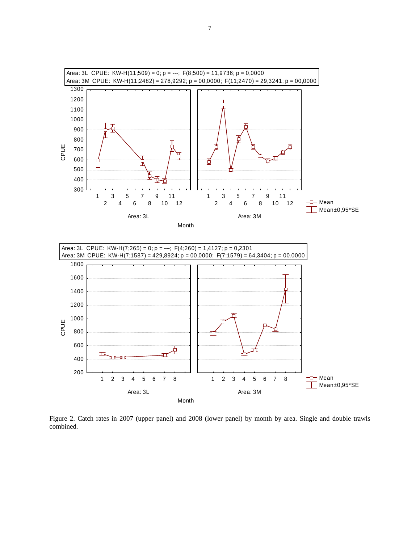

Figure 2. Catch rates in 2007 (upper panel) and 2008 (lower panel) by month by area. Single and double trawls combined.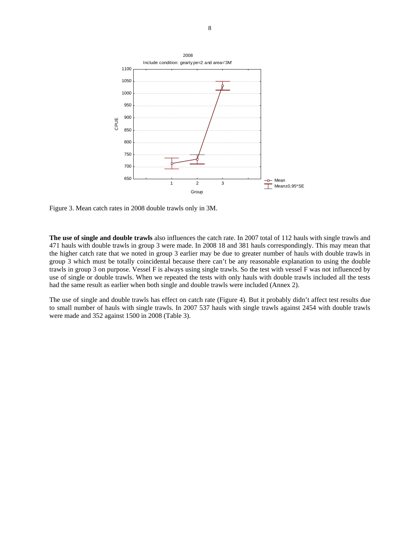

Figure 3. Mean catch rates in 2008 double trawls only in 3M.

**The use of single and double trawls** also influences the catch rate. In 2007 total of 112 hauls with single trawls and 471 hauls with double trawls in group 3 were made. In 2008 18 and 381 hauls correspondingly. This may mean that the higher catch rate that we noted in group 3 earlier may be due to greater number of hauls with double trawls in group 3 which must be totally coincidental because there can't be any reasonable explanation to using the double trawls in group 3 on purpose. Vessel F is always using single trawls. So the test with vessel F was not influenced by use of single or double trawls. When we repeated the tests with only hauls with double trawls included all the tests had the same result as earlier when both single and double trawls were included (Annex 2).

The use of single and double trawls has effect on catch rate (Figure 4). But it probably didn't affect test results due to small number of hauls with single trawls. In 2007 537 hauls with single trawls against 2454 with double trawls were made and 352 against 1500 in 2008 (Table 3).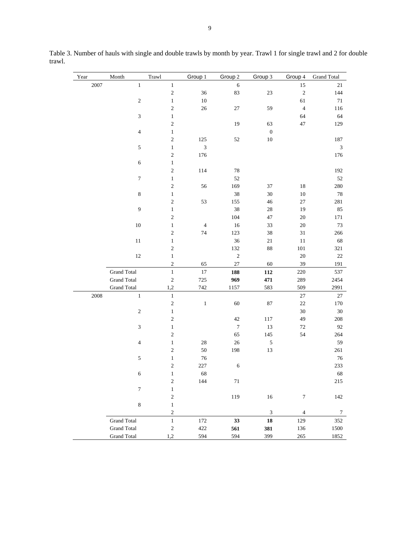| Year | Month                       | Trawl                      | Group 1        | Group 2          | Group 3          | Group 4          | <b>Grand Total</b>          |
|------|-----------------------------|----------------------------|----------------|------------------|------------------|------------------|-----------------------------|
| 2007 | $\mathbf{1}$                | $\mathbf{1}$               |                | $\sqrt{6}$       |                  | 15               | 21                          |
|      |                             | $\sqrt{2}$                 | 36             | 83               | 23               | $\sqrt{2}$       | 144                         |
|      | $\sqrt{2}$                  | $\,1$                      | $10\,$         |                  |                  | 61               | $71\,$                      |
|      |                             | $\sqrt{2}$                 | $26\,$         | $27\,$           | 59               | $\sqrt{4}$       | 116                         |
|      | $\ensuremath{\mathfrak{Z}}$ | $\,1$                      |                |                  |                  | 64               | 64                          |
|      |                             | $\sqrt{2}$                 |                | 19               | 63               | $47\,$           | 129                         |
|      | $\overline{4}$              | $\,1$                      |                |                  | $\boldsymbol{0}$ |                  |                             |
|      |                             | $\sqrt{2}$                 | 125            | 52               | $10\,$           |                  | 187                         |
|      | $\sqrt{5}$                  | $\mathbf{1}$               | 3              |                  |                  |                  | $\ensuremath{\mathfrak{Z}}$ |
|      |                             | $\sqrt{2}$                 | 176            |                  |                  |                  | 176                         |
|      | $\sqrt{6}$                  | $\mathbf{1}$<br>$\sqrt{2}$ |                |                  |                  |                  |                             |
|      | $\boldsymbol{7}$            | $\,1$                      | 114            | 78<br>52         |                  |                  | 192<br>52                   |
|      |                             | $\sqrt{2}$                 | 56             | 169              | 37               | 18               | 280                         |
|      | $\,8\,$                     | $\,1$                      |                | 38               | $30\,$           | $10\,$           | 78                          |
|      |                             | $\sqrt{2}$                 | 53             | 155              | $46\,$           | $27\,$           | $281\,$                     |
|      | 9                           | $\,1$                      |                | 38               | 28               | 19               | 85                          |
|      |                             | $\mathbf{2}$               |                | 104              | 47               | 20               | 171                         |
|      | $10\,$                      | $\,1$                      | $\overline{4}$ | 16               | 33               | $20\,$           | $73\,$                      |
|      |                             | $\sqrt{2}$                 | 74             | 123              | 38               | $31\,$           | 266                         |
|      | $11\,$                      | $\,1$                      |                | 36               | $21\,$           | $11\,$           | 68                          |
|      |                             | $\sqrt{2}$                 |                | 132              | 88               | $101\,$          | $321\,$                     |
|      | 12                          | $\,1$                      |                | $\sqrt{2}$       |                  | 20               | 22                          |
|      |                             | $\sqrt{2}$                 | 65             | $27\,$           | 60               | 39               | 191                         |
|      | <b>Grand Total</b>          | $\mathbf{1}$               | $17\,$         | 188              | 112              | 220              | 537                         |
|      | <b>Grand Total</b>          | $\sqrt{2}$                 | 725            | 969              | 471              | 289              | 2454                        |
|      | <b>Grand Total</b>          | 1,2                        | 742            | 1157             | 583              | 509              | 2991                        |
| 2008 | $\,1$                       | $\,1$                      |                |                  |                  | $27\,$           | 27                          |
|      |                             | $\sqrt{2}$                 | $\,1\,$        | 60               | $87\,$           | $22\,$           | 170                         |
|      | $\sqrt{2}$                  | $\,1$                      |                |                  |                  | $30\,$           | $30\,$                      |
|      |                             | $\sqrt{2}$                 |                | 42               | 117              | 49               | 208                         |
|      | $\ensuremath{\mathfrak{Z}}$ | $\,1$                      |                | $\boldsymbol{7}$ | 13               | 72               | 92                          |
|      |                             | $\sqrt{2}$                 |                | 65               | 145              | 54               | 264                         |
|      | $\overline{4}$              | $\,1$                      | $28\,$         | 26               | $\sqrt{5}$       |                  | 59                          |
|      |                             | $\sqrt{2}$                 | 50             | 198              | 13               |                  | 261                         |
|      | $\sqrt{5}$                  | $\mathbf{1}$               | 76             |                  |                  |                  | 76                          |
|      |                             | $\sqrt{2}$                 | $227\,$        | $\sqrt{6}$       |                  |                  | 233                         |
|      | $\sqrt{6}$                  | $\mathbf{1}$               | 68             |                  |                  |                  | 68                          |
|      | $\tau$                      | 2<br>$\mathbf{1}$          | 144            | 71               |                  |                  | 215                         |
|      |                             | $\overline{\mathbf{c}}$    |                | 119              | $16\,$           | $\boldsymbol{7}$ | 142                         |
|      | $\,8\,$                     | $\,1$                      |                |                  |                  |                  |                             |
|      |                             | $\sqrt{2}$                 |                |                  | $\mathfrak{Z}$   | $\overline{4}$   | $\tau$                      |
|      | <b>Grand Total</b>          | $\,1$                      | 172            | 33               | 18               | 129              | 352                         |
|      | <b>Grand Total</b>          | $\overline{\mathbf{c}}$    | $422\,$        | 561              | 381              | 136              | 1500                        |
|      | <b>Grand Total</b>          | 1,2                        | 594            | 594              | 399              | $265\,$          | 1852                        |

Table 3. Number of hauls with single and double trawls by month by year. Trawl 1 for single trawl and 2 for double trawl.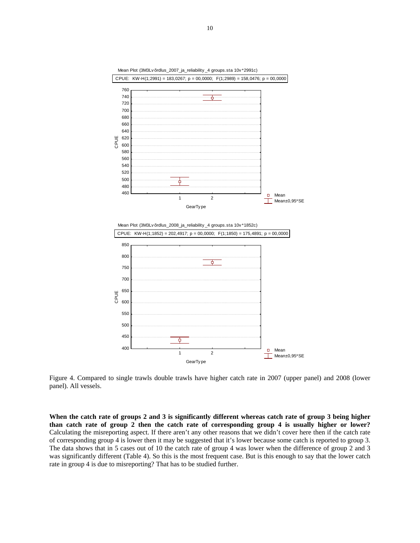

Figure 4. Compared to single trawls double trawls have higher catch rate in 2007 (upper panel) and 2008 (lower panel). All vessels.

**When the catch rate of groups 2 and 3 is significantly different whereas catch rate of group 3 being higher than catch rate of group 2 then the catch rate of corresponding group 4 is usually higher or lower?** Calculating the misreporting aspect. If there aren't any other reasons that we didn't cover here then if the catch rate of corresponding group 4 is lower then it may be suggested that it's lower because some catch is reported to group 3. The data shows that in 5 cases out of 10 the catch rate of group 4 was lower when the difference of group 2 and 3 was significantly different (Table 4). So this is the most frequent case. But is this enough to say that the lower catch rate in group 4 is due to misreporting? That has to be studied further.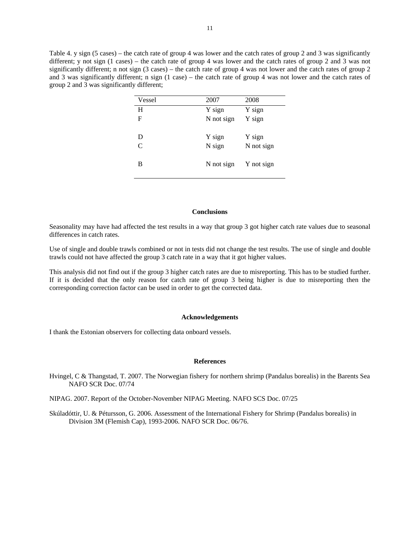Table 4. y sign (5 cases) – the catch rate of group 4 was lower and the catch rates of group 2 and 3 was significantly different; y not sign (1 cases) – the catch rate of group 4 was lower and the catch rates of group 2 and 3 was not significantly different; n not sign (3 cases) – the catch rate of group 4 was not lower and the catch rates of group 2 and 3 was significantly different; n sign (1 case) – the catch rate of group 4 was not lower and the catch rates of group 2 and 3 was significantly different;

| Vessel | 2007       | 2008       |
|--------|------------|------------|
| H      | Y sign     | Y sign     |
| F      | N not sign | Y sign     |
| D      | Y sign     | Y sign     |
| C      | N sign     | N not sign |
| В      | N not sign | Y not sign |

### **Conclusions**

Seasonality may have had affected the test results in a way that group 3 got higher catch rate values due to seasonal differences in catch rates.

Use of single and double trawls combined or not in tests did not change the test results. The use of single and double trawls could not have affected the group 3 catch rate in a way that it got higher values.

This analysis did not find out if the group 3 higher catch rates are due to misreporting. This has to be studied further. If it is decided that the only reason for catch rate of group 3 being higher is due to misreporting then the corresponding correction factor can be used in order to get the corrected data.

#### **Acknowledgements**

I thank the Estonian observers for collecting data onboard vessels.

## **References**

Hvingel, C & Thangstad, T. 2007. The Norwegian fishery for northern shrimp (Pandalus borealis) in the Barents Sea NAFO SCR Doc. 07/74

NIPAG. 2007. Report of the October-November NIPAG Meeting. NAFO SCS Doc. 07/25

Skúladóttir, U. & Pétursson, G. 2006. Assessment of the International Fishery for Shrimp (Pandalus borealis) in Division 3M (Flemish Cap), 1993-2006. NAFO SCR Doc. 06/76.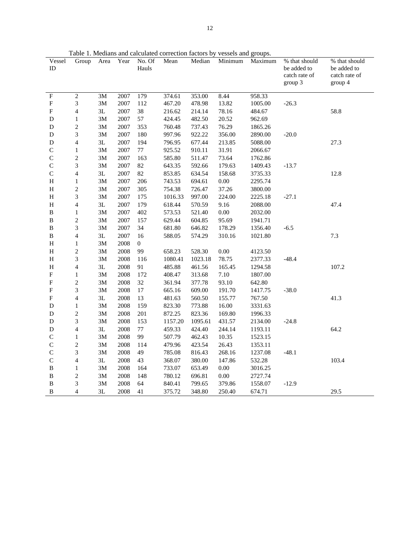Table 1. Medians and calculated correction factors by vessels and groups.

| Vessel         | Group                       | Area           | Year         | No. Of         | Mean             | Median           | Minimum       | Maximum           | % that should                | % that should                |
|----------------|-----------------------------|----------------|--------------|----------------|------------------|------------------|---------------|-------------------|------------------------------|------------------------------|
| $\rm ID$       |                             |                |              | Hauls          |                  |                  |               |                   | be added to<br>catch rate of | be added to<br>catch rate of |
|                |                             |                |              |                |                  |                  |               |                   | group 3                      | group 4                      |
|                |                             |                |              |                |                  |                  |               |                   |                              |                              |
| F<br>${\bf F}$ | $\mathbf{2}$<br>3           | $3M$<br>3M     | 2007<br>2007 | 179<br>112     | 374.61<br>467.20 | 353.00<br>478.98 | 8.44<br>13.82 | 958.33<br>1005.00 | $-26.3$                      |                              |
| F              | $\overline{4}$              | $3\mathbf{L}$  | 2007         | 38             | 216.62           | 214.14           | 78.16         | 484.67            |                              | 58.8                         |
| D              | $\mathbf{1}$                | 3M             | 2007         | 57             | 424.45           | 482.50           | 20.52         | 962.69            |                              |                              |
| D              | $\sqrt{2}$                  |                | 2007         | 353            | 760.48           | 737.43           | 76.29         | 1865.26           |                              |                              |
| D              | 3                           | 3M<br>3M       | 2007         | 180            | 997.96           | 922.22           | 356.00        | 2890.00           | $-20.0$                      |                              |
|                |                             |                |              |                |                  |                  |               |                   |                              |                              |
| D              | $\overline{4}$              | $3{\mathsf L}$ | 2007         | 194            | 796.95           | 677.44           | 213.85        | 5088.00           |                              | 27.3                         |
| $\mathsf C$    | $\mathbf{1}$                | 3M             | 2007         | $77\,$         | 925.52           | 910.11           | 31.91         | 2066.67           |                              |                              |
| $\mathsf C$    | $\boldsymbol{2}$            | 3M             | 2007         | 163            | 585.80           | 511.47           | 73.64         | 1762.86           |                              |                              |
| $\mathsf C$    | $\mathfrak{Z}$              | 3M             | 2007         | 82             | 643.35           | 592.66           | 179.63        | 1409.43           | $-13.7$                      |                              |
| $\mathsf{C}$   | $\overline{4}$              | $3{\mathsf L}$ | 2007         | 82             | 853.85           | 634.54           | 158.68        | 3735.33           |                              | 12.8                         |
| Н              | $\mathbf{1}$                | 3M             | 2007         | 206            | 743.53           | 694.61           | $0.00\,$      | 2295.74           |                              |                              |
| $\, {\rm H}$   | $\sqrt{2}$                  | 3M             | 2007         | 305            | 754.38           | 726.47           | 37.26         | 3800.00           |                              |                              |
| Η              | 3                           | $3M$           | 2007         | 175            | 1016.33          | 997.00           | 224.00        | 2225.18           | $-27.1$                      |                              |
| $\, {\rm H}$   | $\overline{\mathcal{A}}$    | 3L             | 2007         | 179            | 618.44           | 570.59           | 9.16          | 2088.00           |                              | 47.4                         |
| B              | $\mathbf{1}$                | 3M             | 2007         | 402            | 573.53           | 521.40           | $0.00\,$      | 2032.00           |                              |                              |
| B              | $\boldsymbol{2}$            | 3M             | 2007         | 157            | 629.44           | 604.85           | 95.69         | 1941.71           |                              |                              |
| B              | $\mathfrak{Z}$              | $3M$           | 2007         | 34             | 681.80           | 646.82           | 178.29        | 1356.40           | $-6.5$                       |                              |
| B              | $\overline{4}$              | 3L             | 2007         | 16             | 588.05           | 574.29           | 310.16        | 1021.80           |                              | 7.3                          |
| $\, {\rm H}$   | $\mathbf{1}$                | 3M             | 2008         | $\overline{0}$ |                  |                  |               |                   |                              |                              |
| Η              | $\boldsymbol{2}$            | $3M$           | 2008         | 99             | 658.23           | 528.30           | $0.00\,$      | 4123.50           |                              |                              |
| $\, {\rm H}$   | $\ensuremath{\mathfrak{Z}}$ | 3M             | 2008         | 116            | 1080.41          | 1023.18          | 78.75         | 2377.33           | $-48.4$                      |                              |
| Η              | $\overline{4}$              | 3L             | 2008         | 91             | 485.88           | 461.56           | 165.45        | 1294.58           |                              | 107.2                        |
| F              | $\mathbf{1}$                | 3M             | 2008         | 172            | 408.47           | 313.68           | 7.10          | 1807.00           |                              |                              |
| $_{\rm F}$     | $\sqrt{2}$                  | $3M$           | 2008         | 32             | 361.94           | 377.78           | 93.10         | 642.80            |                              |                              |
| F              | $\ensuremath{\mathfrak{Z}}$ | 3M             | 2008         | $17\,$         | 665.16           | 609.00           | 191.70        | 1417.75           | $-38.0$                      |                              |
| F              | $\overline{4}$              | $3{\mathsf L}$ | 2008         | 13             | 481.63           | 560.50           | 155.77        | 767.50            |                              | 41.3                         |
| D              | $\mathbf{1}$                | $3M$           | 2008         | 159            | 823.30           | 773.88           | 16.00         | 3331.63           |                              |                              |
| D              | $\boldsymbol{2}$            | 3M             | 2008         | 201            | 872.25           | 823.36           | 169.80        | 1996.33           |                              |                              |
| D              | 3                           | 3M             | 2008         | 153            | 1157.20          | 1095.61          | 431.57        | 2134.00           | $-24.8$                      |                              |
| D              | $\overline{4}$              | $3\mathbf{L}$  | 2008         | 77             | 459.33           | 424.40           | 244.14        | 1193.11           |                              | 64.2                         |
| C              | $\mathbf{1}$                | 3M             | 2008         | 99             | 507.79           | 462.43           | 10.35         | 1523.15           |                              |                              |
| C              | $\sqrt{2}$                  | 3M             | 2008         | 114            | 479.96           | 423.54           | 26.43         | 1353.11           |                              |                              |
| $\mathsf C$    | 3                           | $3M$           | 2008         | 49             | 785.08           | 816.43           | 268.16        | 1237.08           | $-48.1$                      |                              |
| $\mathsf C$    | $\overline{4}$              | 3L             | 2008         | 43             | 368.07           | 380.00           | 147.86        | 532.28            |                              | 103.4                        |
| B              | $\mathbf{1}$                | 3M             | 2008         | 164            | 733.07           | 653.49           | $0.00\,$      | 3016.25           |                              |                              |
| B              | $\boldsymbol{2}$            | 3M             | 2008         | 148            | 780.12           | 696.81           | $0.00\,$      | 2727.74           |                              |                              |
| B              | $\mathfrak{Z}$              | 3M             | 2008         | 64             | 840.41           | 799.65           | 379.86        | 1558.07           | $-12.9$                      |                              |
|                |                             |                |              |                |                  |                  |               |                   |                              |                              |
| B              | 4                           | 3L             | 2008         | 41             | 375.72           | 348.80           | 250.40        | 674.71            |                              | 29.5                         |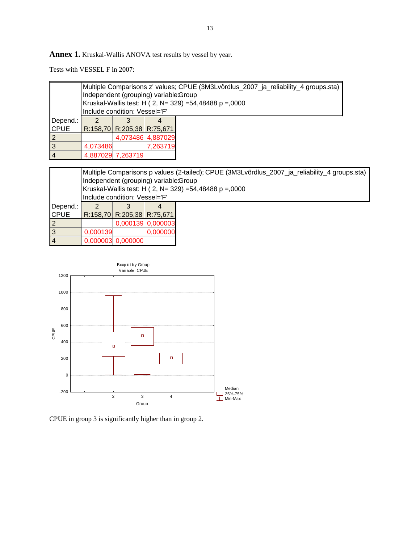Annex 1. Kruskal-Wallis ANOVA test results by vessel by year.

Tests with VESSEL F in 2007:

|                | Multiple Comparisons z' values; CPUE (3M3Lvõrdlus_2007_ja_reliability_4 groups.sta)<br>Independent (grouping) variable:Group<br>Kruskal-Wallis test: H ( 2, N= 329) =54,48488 p =,0000 |                                  |                   |  |  |  |  |  |  |
|----------------|----------------------------------------------------------------------------------------------------------------------------------------------------------------------------------------|----------------------------------|-------------------|--|--|--|--|--|--|
|                | Include condition: Vessel='F'                                                                                                                                                          |                                  |                   |  |  |  |  |  |  |
| Depend.:       |                                                                                                                                                                                        |                                  |                   |  |  |  |  |  |  |
| <b>CPUE</b>    |                                                                                                                                                                                        | $R:158,70$ $R:205,38$ $R:75,671$ |                   |  |  |  |  |  |  |
| $\overline{2}$ |                                                                                                                                                                                        |                                  | 4,073486 4,887029 |  |  |  |  |  |  |
| $\overline{3}$ | 4,073486                                                                                                                                                                               | 7,263719                         |                   |  |  |  |  |  |  |
| $\overline{4}$ |                                                                                                                                                                                        | 4,887029 7,263719                |                   |  |  |  |  |  |  |

|                | Multiple Comparisons p values (2-tailed); CPUE (3M3Lvõrdlus_2007_ja_reliability_4 groups.sta)<br>Independent (grouping) variable: Group<br>Kruskal-Wallis test: H ( 2, N= 329) =54,48488 p =,0000 |                     |                            |  |  |  |  |  |  |
|----------------|---------------------------------------------------------------------------------------------------------------------------------------------------------------------------------------------------|---------------------|----------------------------|--|--|--|--|--|--|
|                | Include condition: Vessel='F'                                                                                                                                                                     |                     |                            |  |  |  |  |  |  |
| Depend.:       |                                                                                                                                                                                                   |                     |                            |  |  |  |  |  |  |
| <b>CPUE</b>    |                                                                                                                                                                                                   |                     | R:158,70 R:205,38 R:75,671 |  |  |  |  |  |  |
| 2              |                                                                                                                                                                                                   |                     | 0,000139 0,000003          |  |  |  |  |  |  |
| $\mathsf{I}$   | 0,000139                                                                                                                                                                                          | 0,000000            |                            |  |  |  |  |  |  |
| $\overline{4}$ |                                                                                                                                                                                                   | $0,000003$ 0,000000 |                            |  |  |  |  |  |  |



CPUE in group 3 is significantly higher than in group 2.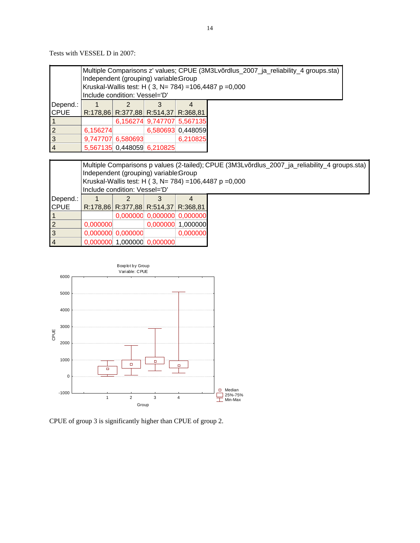Tests with VESSEL D in 2007:

|                |          | Multiple Comparisons z' values; CPUE (3M3Lvõrdlus_2007_ja_reliability_4 groups.sta)<br>Independent (grouping) variable:Group<br>Kruskal-Wallis test: H (3, N= 784) = 106, 4487 p = 0,000<br>Include condition: Vessel='D' |  |                            |  |  |  |  |  |
|----------------|----------|---------------------------------------------------------------------------------------------------------------------------------------------------------------------------------------------------------------------------|--|----------------------------|--|--|--|--|--|
| Depend.:       |          |                                                                                                                                                                                                                           |  |                            |  |  |  |  |  |
| <b>CPUE</b>    |          | R:178,86 R:377,88 R:514,37 R:368,81                                                                                                                                                                                       |  |                            |  |  |  |  |  |
|                |          |                                                                                                                                                                                                                           |  | 6,156274 9,747707 5,567135 |  |  |  |  |  |
| 2              | 6,156274 | 6,580693 0,448059                                                                                                                                                                                                         |  |                            |  |  |  |  |  |
| 3              |          | 6,210825<br>9,747707 6,580693                                                                                                                                                                                             |  |                            |  |  |  |  |  |
| $\overline{4}$ |          | 5,567135 0,448059 6,210825                                                                                                                                                                                                |  |                            |  |  |  |  |  |

|                | Multiple Comparisons p values (2-tailed); CPUE (3M3Lvõrdlus_2007_ja_reliability_4 groups.sta)<br>Independent (grouping) variable: Group<br>Kruskal-Wallis test: H (3, N= 784) = 106,4487 p = 0,000<br>Include condition: Vessel='D' |                                 |                                     |                            |  |  |  |  |  |  |
|----------------|-------------------------------------------------------------------------------------------------------------------------------------------------------------------------------------------------------------------------------------|---------------------------------|-------------------------------------|----------------------------|--|--|--|--|--|--|
| Depend.:       |                                                                                                                                                                                                                                     |                                 |                                     |                            |  |  |  |  |  |  |
| <b>CPUE</b>    |                                                                                                                                                                                                                                     |                                 | R:178,86 R:377,88 R:514,37 R:368,81 |                            |  |  |  |  |  |  |
|                |                                                                                                                                                                                                                                     |                                 |                                     | 0,000000 0,000000 0,000000 |  |  |  |  |  |  |
| 2              |                                                                                                                                                                                                                                     | 0,000000 1,000000<br>0.000000   |                                     |                            |  |  |  |  |  |  |
| $\overline{3}$ |                                                                                                                                                                                                                                     | 0,000000<br>$0,000000$ 0,000000 |                                     |                            |  |  |  |  |  |  |
| $\overline{4}$ |                                                                                                                                                                                                                                     |                                 | $0,000000$ 1,000000 0,000000        |                            |  |  |  |  |  |  |



CPUE of group 3 is significantly higher than CPUE of group 2.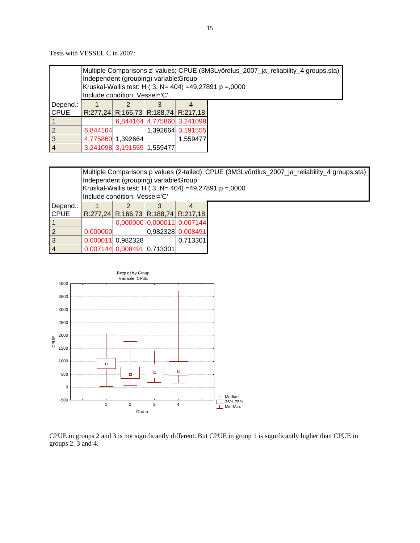Tests with VESSEL C in 2007:

|                | Multiple Comparisons z' values; CPUE (3M3Lvõrdlus_2007_ja_reliability_4 groups.sta)<br>Independent (grouping) variable:Group<br>Kruskal-Wallis test: H (3, N= 404) =49,27891 p =,0000<br>Include condition: Vessel='C' |                               |                            |                                     |  |  |  |  |
|----------------|------------------------------------------------------------------------------------------------------------------------------------------------------------------------------------------------------------------------|-------------------------------|----------------------------|-------------------------------------|--|--|--|--|
| Depend.:       |                                                                                                                                                                                                                        |                               |                            |                                     |  |  |  |  |
| <b>CPUE</b>    |                                                                                                                                                                                                                        |                               |                            | R:277,24 R:166,73 R:188,74 R:217,18 |  |  |  |  |
|                |                                                                                                                                                                                                                        |                               |                            | 6,844164 4,775860 3,241098          |  |  |  |  |
| $\overline{2}$ | 6.844164                                                                                                                                                                                                               |                               |                            | 1,392664 3,191555                   |  |  |  |  |
| $\overline{3}$ |                                                                                                                                                                                                                        | 4,775860 1,392664<br>1.559477 |                            |                                     |  |  |  |  |
| $\overline{4}$ |                                                                                                                                                                                                                        |                               | 3,241098 3,191555 1,559477 |                                     |  |  |  |  |

|                | Multiple Comparisons p values (2-tailed); CPUE (3M3Lvõrdlus_2007_ja_reliability_4 groups.sta)<br>Independent (grouping) variable:Group<br>Kruskal-Wallis test: H (3, N= 404) =49,27891 p =,0000<br>Include condition: Vessel='C' |                                     |  |                            |  |  |  |  |
|----------------|----------------------------------------------------------------------------------------------------------------------------------------------------------------------------------------------------------------------------------|-------------------------------------|--|----------------------------|--|--|--|--|
| Depend.:       |                                                                                                                                                                                                                                  |                                     |  |                            |  |  |  |  |
| <b>CPUE</b>    |                                                                                                                                                                                                                                  | R:277,24 R:166,73 R:188,74 R:217,18 |  |                            |  |  |  |  |
| $\vert$ 1      |                                                                                                                                                                                                                                  |                                     |  | 0,000000 0,000011 0,007144 |  |  |  |  |
| $\overline{2}$ | 0,000000                                                                                                                                                                                                                         |                                     |  | 0,982328 0,008491          |  |  |  |  |
| $\overline{3}$ |                                                                                                                                                                                                                                  | 0.000011 0.982328                   |  | 0.713301                   |  |  |  |  |
| $\overline{4}$ |                                                                                                                                                                                                                                  | 0,007144 0,008491 0,713301          |  |                            |  |  |  |  |



CPUE in groups 2 and 3 is not significantly different. But CPUE in group 1 is significantly higher than CPUE in groups 2. 3 and 4.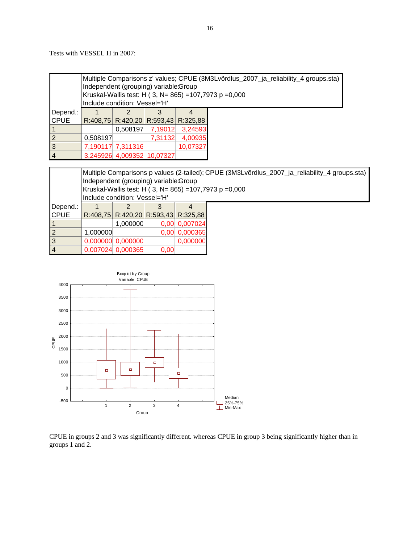Tests with VESSEL H in 2007:

|                | Multiple Comparisons z' values; CPUE (3M3Lvõrdlus_2007_ja_reliability_4 groups.sta)<br>Independent (grouping) variable: Group<br>Kruskal-Wallis test: H ( 3, N= 865) = 107, 7973 p = 0,000<br>Include condition: Vessel='H' |                   |                            |                                           |  |  |  |
|----------------|-----------------------------------------------------------------------------------------------------------------------------------------------------------------------------------------------------------------------------|-------------------|----------------------------|-------------------------------------------|--|--|--|
| Depend.:       |                                                                                                                                                                                                                             |                   |                            |                                           |  |  |  |
| <b>CPUE</b>    |                                                                                                                                                                                                                             |                   |                            | R:408,75   R:420,20   R:593,43   R:325,88 |  |  |  |
|                |                                                                                                                                                                                                                             |                   | $0,508197$ 7,19012         | 3,24593                                   |  |  |  |
| $\overline{2}$ | 0,508197                                                                                                                                                                                                                    |                   | 7,31132                    | 4,00935                                   |  |  |  |
| $\overline{3}$ |                                                                                                                                                                                                                             | 7,190117 7,311316 |                            | 10,07327                                  |  |  |  |
| $\overline{4}$ |                                                                                                                                                                                                                             |                   | 3,245926 4,009352 10,07327 |                                           |  |  |  |

|                | Multiple Comparisons p values (2-tailed); CPUE (3M3Lvõrdlus_2007_ja_reliability_4 groups.sta)<br>Independent (grouping) variable:Group<br>Kruskal-Wallis test: H (3, N= 865) = 107, 7973 p = 0,000<br>Include condition: Vessel='H' |                     |      |                                     |  |  |  |  |
|----------------|-------------------------------------------------------------------------------------------------------------------------------------------------------------------------------------------------------------------------------------|---------------------|------|-------------------------------------|--|--|--|--|
| Depend.:       |                                                                                                                                                                                                                                     |                     |      |                                     |  |  |  |  |
| <b>CPUE</b>    |                                                                                                                                                                                                                                     |                     |      | R:408,75 R:420,20 R:593,43 R:325,88 |  |  |  |  |
|                |                                                                                                                                                                                                                                     | 1,000000            |      | 0,00 0,007024                       |  |  |  |  |
| $\overline{2}$ | 1,000000                                                                                                                                                                                                                            |                     |      | 0,00 0,000365                       |  |  |  |  |
| $\overline{3}$ |                                                                                                                                                                                                                                     | $0,000000$ 0,000000 |      | 0,000000                            |  |  |  |  |
| $\overline{4}$ |                                                                                                                                                                                                                                     | 0,007024 0,000365   | 0.00 |                                     |  |  |  |  |



CPUE in groups 2 and 3 was significantly different. whereas CPUE in group 3 being significantly higher than in groups 1 and 2.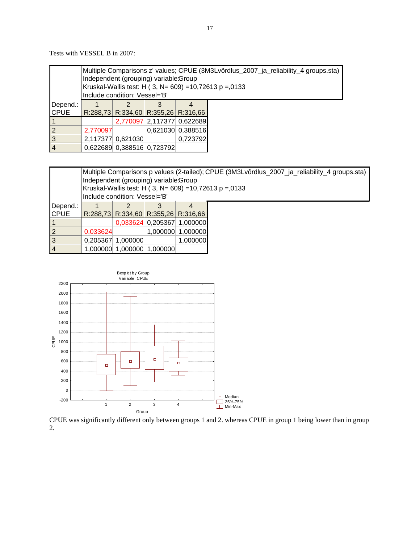Tests with VESSEL B in 2007:

|                |          | Multiple Comparisons z' values; CPUE (3M3Lvõrdlus_2007_ja_reliability_4 groups.sta)<br>Independent (grouping) variable:Group<br>Kruskal-Wallis test: H (3, N= 609) = 10,72613 p = 0133<br>Include condition: Vessel='B' |                            |                                     |  |  |  |  |  |
|----------------|----------|-------------------------------------------------------------------------------------------------------------------------------------------------------------------------------------------------------------------------|----------------------------|-------------------------------------|--|--|--|--|--|
| Depend.:       |          |                                                                                                                                                                                                                         |                            |                                     |  |  |  |  |  |
| <b>CPUE</b>    |          |                                                                                                                                                                                                                         |                            | R:288,73 R:334,60 R:355,26 R:316,66 |  |  |  |  |  |
|                |          |                                                                                                                                                                                                                         |                            | 2,770097 2,117377 0,622689          |  |  |  |  |  |
| $\vert$ 2      | 2,770097 |                                                                                                                                                                                                                         |                            | 0,621030 0,388516                   |  |  |  |  |  |
| 3              |          | 0,723792<br>2,117377 0,621030                                                                                                                                                                                           |                            |                                     |  |  |  |  |  |
| $\overline{4}$ |          |                                                                                                                                                                                                                         | 0,622689 0,388516 0,723792 |                                     |  |  |  |  |  |

|                | Multiple Comparisons p values (2-tailed); CPUE (3M3Lvõrdlus_2007_ja_reliability_4 groups.sta)<br>Independent (grouping) variable:Group<br>Kruskal-Wallis test: H (3, N= 609) = 10,72613 p = 0133<br>Include condition: Vessel='B' |                   |                                     |                   |  |  |  |  |
|----------------|-----------------------------------------------------------------------------------------------------------------------------------------------------------------------------------------------------------------------------------|-------------------|-------------------------------------|-------------------|--|--|--|--|
| Depend.:       |                                                                                                                                                                                                                                   |                   |                                     |                   |  |  |  |  |
| <b>CPUE</b>    |                                                                                                                                                                                                                                   |                   | R:288,73 R:334,60 R:355,26 R:316,66 |                   |  |  |  |  |
|                |                                                                                                                                                                                                                                   |                   | 0,033624 0,205367 1,000000          |                   |  |  |  |  |
| $\overline{2}$ | 0,033624                                                                                                                                                                                                                          |                   |                                     | 1,000000 1,000000 |  |  |  |  |
| $\overline{3}$ |                                                                                                                                                                                                                                   | 0,205367 1,000000 |                                     | 1,000000          |  |  |  |  |
| $\overline{4}$ |                                                                                                                                                                                                                                   |                   | 1,000000 1,000000 1,000000          |                   |  |  |  |  |



CPUE was significantly different only between groups 1 and 2. whereas CPUE in group 1 being lower than in group 2.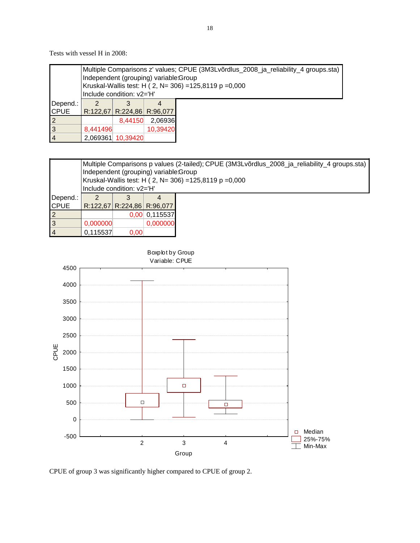Tests with vessel H in 2008:

|                | Multiple Comparisons z' values; CPUE (3M3Lvõrdlus_2008_ja_reliability_4 groups.sta)<br>Independent (grouping) variable:Group<br>Kruskal-Wallis test: H (2, N= 306) = 125,8119 p = 0,000 |                           |                            |  |  |  |  |  |  |  |
|----------------|-----------------------------------------------------------------------------------------------------------------------------------------------------------------------------------------|---------------------------|----------------------------|--|--|--|--|--|--|--|
|                |                                                                                                                                                                                         | Include condition: v2='H' |                            |  |  |  |  |  |  |  |
| Depend.:       |                                                                                                                                                                                         |                           |                            |  |  |  |  |  |  |  |
| <b>CPUE</b>    |                                                                                                                                                                                         |                           | R:122,67 R:224,86 R:96,077 |  |  |  |  |  |  |  |
|                |                                                                                                                                                                                         | 8,44150                   | 2,06936                    |  |  |  |  |  |  |  |
| 3              | 8,441496                                                                                                                                                                                |                           | 10,39420                   |  |  |  |  |  |  |  |
| $\overline{4}$ | 2,069361                                                                                                                                                                                | 10.39420                  |                            |  |  |  |  |  |  |  |

|                | Multiple Comparisons p values (2-tailed); CPUE (3M3Lvõrdlus_2008_ja_reliability_4 groups.sta)<br>Independent (grouping) variable:Group<br>Kruskal-Wallis test: H ( 2, N= 306) = 125,8119 p = 0,000 |      |                            |  |  |  |  |  |
|----------------|----------------------------------------------------------------------------------------------------------------------------------------------------------------------------------------------------|------|----------------------------|--|--|--|--|--|
|                | Include condition: v2='H'                                                                                                                                                                          |      |                            |  |  |  |  |  |
| Depend.:       |                                                                                                                                                                                                    |      |                            |  |  |  |  |  |
| <b>CPUE</b>    |                                                                                                                                                                                                    |      | R:122,67 R:224,86 R:96,077 |  |  |  |  |  |
| $\overline{2}$ |                                                                                                                                                                                                    | 0.00 | 0,115537                   |  |  |  |  |  |
| $\overline{3}$ | 0,000000                                                                                                                                                                                           |      | 0,000000                   |  |  |  |  |  |
| $\vert$ 4      | 0,115537                                                                                                                                                                                           | 0,00 |                            |  |  |  |  |  |



CPUE of group 3 was significantly higher compared to CPUE of group 2.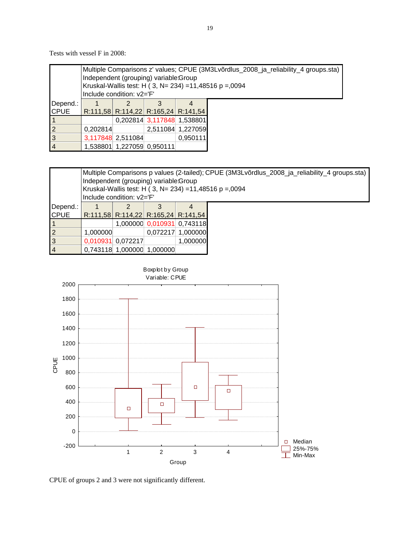Tests with vessel F in 2008:

|                |          | Multiple Comparisons z' values; CPUE (3M3Lvõrdlus_2008_ja_reliability_4 groups.sta)<br>Independent (grouping) variable: Group<br>Kruskal-Wallis test: H ( 3, N= 234) = 11,48516 p = 0094<br>Include condition: v2='F' |  |                                     |  |  |  |  |  |
|----------------|----------|-----------------------------------------------------------------------------------------------------------------------------------------------------------------------------------------------------------------------|--|-------------------------------------|--|--|--|--|--|
| Depend.:       |          |                                                                                                                                                                                                                       |  |                                     |  |  |  |  |  |
| <b>CPUE</b>    |          |                                                                                                                                                                                                                       |  | R:111,58 R:114,22 R:165,24 R:141,54 |  |  |  |  |  |
|                |          |                                                                                                                                                                                                                       |  | 0,202814 3,117848 1,538801          |  |  |  |  |  |
| $\overline{2}$ | 0.202814 |                                                                                                                                                                                                                       |  | 2,511084 1,227059                   |  |  |  |  |  |
| 3              |          | 3,117848 2,511084<br>0.950111                                                                                                                                                                                         |  |                                     |  |  |  |  |  |
| $\vert 4$      |          | 1,538801 1,227059 0,950111                                                                                                                                                                                            |  |                                     |  |  |  |  |  |

|                |          | Multiple Comparisons p values (2-tailed); CPUE (3M3Lvõrdlus_2008_ja_reliability_4 groups.sta) |  |                                     |  |  |  |  |  |  |  |
|----------------|----------|-----------------------------------------------------------------------------------------------|--|-------------------------------------|--|--|--|--|--|--|--|
|                |          | Independent (grouping) variable: Group                                                        |  |                                     |  |  |  |  |  |  |  |
|                |          | Kruskal-Wallis test: H (3, N= 234) = 11,48516 p = 0094<br>Include condition: v2='F'           |  |                                     |  |  |  |  |  |  |  |
| Depend.:       |          |                                                                                               |  |                                     |  |  |  |  |  |  |  |
| <b>CPUE</b>    |          |                                                                                               |  | R:111,58 R:114,22 R:165,24 R:141,54 |  |  |  |  |  |  |  |
| $\mathbf 1$    |          |                                                                                               |  | 1,000000 0,010931 0,743118          |  |  |  |  |  |  |  |
| $\overline{2}$ | 1,000000 |                                                                                               |  | 0.072217 1.000000                   |  |  |  |  |  |  |  |
| $\overline{3}$ |          | 0,010931 0,072217                                                                             |  | 1,000000                            |  |  |  |  |  |  |  |
| $\overline{4}$ |          | 0,743118 1,000000 1,000000                                                                    |  |                                     |  |  |  |  |  |  |  |

Boxplot by Group Variable: CPUE 2000 1800 1600 1400 1200 CPUE 1000 800 600  $\Box$  $\Box$ 400  $\Box$  $\Box$ 200 0 Median -200 25%-75% 1 2 3 4  $\frac{1}{\pm}$  25%-75% Group



19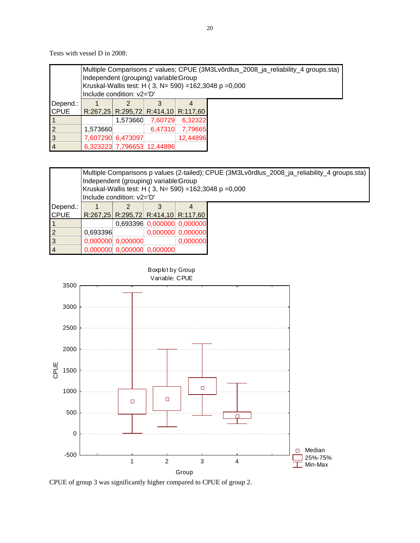Tests with vessel D in 2008:

|                | Multiple Comparisons z' values; CPUE (3M3Lvõrdlus_2008_ja_reliability_4 groups.sta)<br>Independent (grouping) variable:Group<br>Kruskal-Wallis test: H (3, N= 590) = 162,3048 p = 0,000<br>Include condition: v2='D' |                               |                            |                                     |  |  |  |  |
|----------------|----------------------------------------------------------------------------------------------------------------------------------------------------------------------------------------------------------------------|-------------------------------|----------------------------|-------------------------------------|--|--|--|--|
| Depend.:       |                                                                                                                                                                                                                      |                               |                            |                                     |  |  |  |  |
| <b>CPUE</b>    |                                                                                                                                                                                                                      |                               |                            | R:267,25 R:295,72 R:414,10 R:117,60 |  |  |  |  |
|                |                                                                                                                                                                                                                      | 1,573660                      | 7,60729                    | 6,32322                             |  |  |  |  |
|                | 1,573660                                                                                                                                                                                                             |                               | 6,47310                    | 7,79665                             |  |  |  |  |
| $\overline{3}$ |                                                                                                                                                                                                                      | 12,44896<br>7,607290 6,473097 |                            |                                     |  |  |  |  |
|                |                                                                                                                                                                                                                      |                               | 6,323223 7,796653 12,44896 |                                     |  |  |  |  |

|                | Multiple Comparisons p values (2-tailed); CPUE (3M3Lvõrdlus_2008_ja_reliability_4 groups.sta)<br>Independent (grouping) variable: Group<br>Kruskal-Wallis test: H ( 3, N= 590) = 162,3048 p = 0,000<br>Include condition: v2='D' |                     |                            |                                     |  |  |  |  |
|----------------|----------------------------------------------------------------------------------------------------------------------------------------------------------------------------------------------------------------------------------|---------------------|----------------------------|-------------------------------------|--|--|--|--|
| Depend.:       |                                                                                                                                                                                                                                  |                     |                            |                                     |  |  |  |  |
| <b>CPUE</b>    |                                                                                                                                                                                                                                  |                     |                            | R:267,25 R:295,72 R:414,10 R:117,60 |  |  |  |  |
|                |                                                                                                                                                                                                                                  |                     |                            | 0,693396 0,000000 0,000000          |  |  |  |  |
| $\overline{2}$ | 0.693396                                                                                                                                                                                                                         |                     |                            | $0,000000$ 0,000000                 |  |  |  |  |
| $\overline{3}$ |                                                                                                                                                                                                                                  | $0,000000$ 0,000000 |                            | 0,000000                            |  |  |  |  |
| $\overline{4}$ |                                                                                                                                                                                                                                  |                     | 0,000000 0,000000 0,000000 |                                     |  |  |  |  |



CPUE of group 3 was significantly higher compared to CPUE of group 2.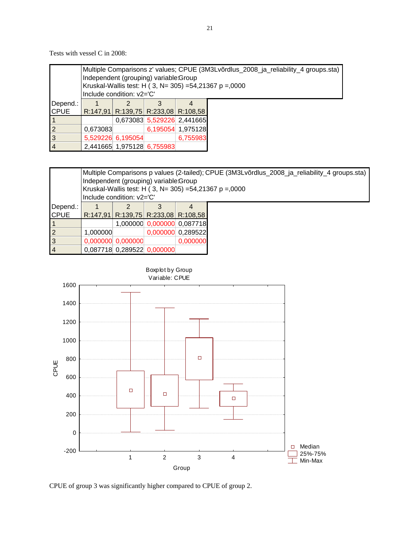Tests with vessel C in 2008:

|                |          | Multiple Comparisons z' values; CPUE (3M3Lvõrdlus_2008_ja_reliability_4 groups.sta)<br>Independent (grouping) variable:Group<br>Kruskal-Wallis test: H (3, N= 305) =54,21367 p =,0000<br>Include condition: v2='C' |                            |                                     |  |  |  |  |  |
|----------------|----------|--------------------------------------------------------------------------------------------------------------------------------------------------------------------------------------------------------------------|----------------------------|-------------------------------------|--|--|--|--|--|
| Depend.:       |          |                                                                                                                                                                                                                    |                            |                                     |  |  |  |  |  |
| <b>CPUE</b>    |          |                                                                                                                                                                                                                    |                            | R:147,91 R:139,75 R:233,08 R:108,58 |  |  |  |  |  |
|                |          |                                                                                                                                                                                                                    |                            | 0,673083 5,529226 2,441665          |  |  |  |  |  |
| $\overline{2}$ | 0.673083 | 6,195054 1,975128                                                                                                                                                                                                  |                            |                                     |  |  |  |  |  |
| $\overline{3}$ |          | 5,529226 6,195054<br>6,755983                                                                                                                                                                                      |                            |                                     |  |  |  |  |  |
| $\overline{4}$ |          |                                                                                                                                                                                                                    | 2,441665 1,975128 6,755983 |                                     |  |  |  |  |  |

|                | Multiple Comparisons p values (2-tailed); CPUE (3M3Lvõrdlus_2008_ja_reliability_4 groups.sta)<br>Independent (grouping) variable: Group<br>Kruskal-Wallis test: H (3, N= 305) =54,21367 p =,0000<br>Include condition: v2='C' |                            |  |                                     |  |  |  |  |
|----------------|-------------------------------------------------------------------------------------------------------------------------------------------------------------------------------------------------------------------------------|----------------------------|--|-------------------------------------|--|--|--|--|
| Depend.:       |                                                                                                                                                                                                                               |                            |  |                                     |  |  |  |  |
| <b>CPUE</b>    |                                                                                                                                                                                                                               |                            |  | R:147,91 R:139,75 R:233,08 R:108,58 |  |  |  |  |
| $\vert$ 1      |                                                                                                                                                                                                                               |                            |  | 1,000000 0,000000 0,087718          |  |  |  |  |
| $\overline{2}$ | 1,000000                                                                                                                                                                                                                      |                            |  | 0,000000 0,289522                   |  |  |  |  |
| $\overline{3}$ |                                                                                                                                                                                                                               | $0,000000$ 0,000000        |  | 0.000000                            |  |  |  |  |
| $\overline{4}$ |                                                                                                                                                                                                                               | 0,087718 0,289522 0,000000 |  |                                     |  |  |  |  |



CPUE of group 3 was significantly higher compared to CPUE of group 2.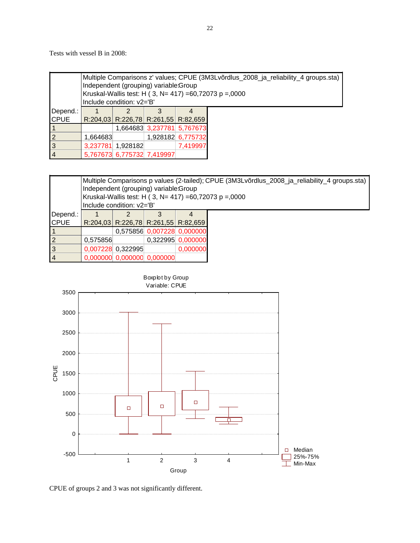Tests with vessel B in 2008:

|                | Multiple Comparisons z' values; CPUE (3M3Lvõrdlus_2008_ja_reliability_4 groups.sta)<br>Independent (grouping) variable:Group<br>Kruskal-Wallis test: H (3, N= 417) = 60,72073 p = 0,000<br>Include condition: v2='B' |                                     |                            |                   |  |  |  |  |
|----------------|----------------------------------------------------------------------------------------------------------------------------------------------------------------------------------------------------------------------|-------------------------------------|----------------------------|-------------------|--|--|--|--|
| Depend.:       |                                                                                                                                                                                                                      |                                     |                            |                   |  |  |  |  |
| <b>CPUE</b>    |                                                                                                                                                                                                                      | R:204,03 R:226,78 R:261,55 R:82,659 |                            |                   |  |  |  |  |
|                |                                                                                                                                                                                                                      |                                     | 1,664683 3,237781 5,767673 |                   |  |  |  |  |
| $\overline{2}$ | 1,664683                                                                                                                                                                                                             |                                     |                            | 1,928182 6,775732 |  |  |  |  |
| $\overline{3}$ |                                                                                                                                                                                                                      | 7,419997<br>3,237781 1,928182       |                            |                   |  |  |  |  |
| $\overline{4}$ |                                                                                                                                                                                                                      | 5,767673 6,775732 7,419997          |                            |                   |  |  |  |  |

|                | Multiple Comparisons p values (2-tailed); CPUE (3M3Lvõrdlus_2008_ja_reliability_4 groups.sta)<br>Independent (grouping) variable: Group |                               |                                     |                   |                                                          |  |  |  |
|----------------|-----------------------------------------------------------------------------------------------------------------------------------------|-------------------------------|-------------------------------------|-------------------|----------------------------------------------------------|--|--|--|
|                |                                                                                                                                         |                               |                                     |                   | Kruskal-Wallis test: H ( 3, N= 417) = 60,72073 p = 0,000 |  |  |  |
|                | Include condition: v2='B'                                                                                                               |                               |                                     |                   |                                                          |  |  |  |
| Depend.:       |                                                                                                                                         |                               |                                     |                   |                                                          |  |  |  |
| <b>CPUE</b>    |                                                                                                                                         |                               | R:204,03 R:226,78 R:261,55 R:82,659 |                   |                                                          |  |  |  |
|                |                                                                                                                                         |                               | 0,575856 0,007228 0,000000          |                   |                                                          |  |  |  |
| $\overline{2}$ | 0.575856                                                                                                                                |                               |                                     | 0,322995 0,000000 |                                                          |  |  |  |
| $\overline{3}$ |                                                                                                                                         | 0,000000<br>0,007228 0,322995 |                                     |                   |                                                          |  |  |  |
| $\vert 4$      |                                                                                                                                         |                               | 0,000000 0,000000 0,000000          |                   |                                                          |  |  |  |



CPUE of groups 2 and 3 was not significantly different.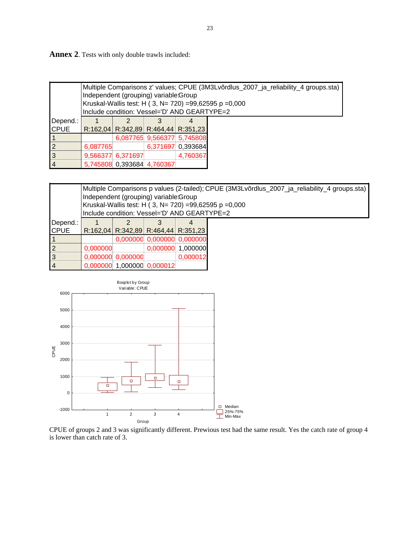**Annex 2**. Tests with only double trawls included:

|                |          | Multiple Comparisons z' values; CPUE (3M3Lvõrdlus_2007_ja_reliability_4 groups.sta)<br>Independent (grouping) variable:Group<br>Kruskal-Wallis test: H (3, N= 720) =99,62595 p =0,000<br>Include condition: Vessel='D' AND GEARTYPE=2 |                   |                                     |  |  |  |  |  |
|----------------|----------|---------------------------------------------------------------------------------------------------------------------------------------------------------------------------------------------------------------------------------------|-------------------|-------------------------------------|--|--|--|--|--|
| Depend.:       |          |                                                                                                                                                                                                                                       |                   |                                     |  |  |  |  |  |
| <b>CPUE</b>    |          |                                                                                                                                                                                                                                       |                   | R:162,04 R:342,89 R:464,44 R:351,23 |  |  |  |  |  |
|                |          |                                                                                                                                                                                                                                       |                   | 6,087765 9,566377 5,745808          |  |  |  |  |  |
| $\overline{2}$ | 6,087765 |                                                                                                                                                                                                                                       | 6,371697 0,393684 |                                     |  |  |  |  |  |
| 3              |          | 4,760367<br>9,566377 6,371697                                                                                                                                                                                                         |                   |                                     |  |  |  |  |  |
| $\overline{4}$ |          | 5,745808 0,393684 4,760367                                                                                                                                                                                                            |                   |                                     |  |  |  |  |  |

|                | Multiple Comparisons p values (2-tailed); CPUE (3M3Lvõrdlus_2007_ja_reliability_4 groups.sta)<br>Independent (grouping) variable:Group |                                 |  |                                              |                                                          |  |  |  |  |
|----------------|----------------------------------------------------------------------------------------------------------------------------------------|---------------------------------|--|----------------------------------------------|----------------------------------------------------------|--|--|--|--|
|                |                                                                                                                                        |                                 |  |                                              | Kruskal-Wallis test: H ( 3, N= 720) = 99,62595 p = 0,000 |  |  |  |  |
|                |                                                                                                                                        |                                 |  | Include condition: Vessel='D' AND GEARTYPE=2 |                                                          |  |  |  |  |
| Depend.:       |                                                                                                                                        |                                 |  |                                              |                                                          |  |  |  |  |
| <b>ICPUE</b>   |                                                                                                                                        |                                 |  | R:162,04 R:342,89 R:464,44 R:351,23          |                                                          |  |  |  |  |
|                |                                                                                                                                        |                                 |  | 0,000000 0,000000 0,000000                   |                                                          |  |  |  |  |
| $\overline{2}$ | 0,000000                                                                                                                               |                                 |  | 0,000000 1,000000                            |                                                          |  |  |  |  |
| $\overline{3}$ |                                                                                                                                        | $0,000000$ 0,000000<br>0.000012 |  |                                              |                                                          |  |  |  |  |
| 4              |                                                                                                                                        | 0,000000 1,000000 0,000012      |  |                                              |                                                          |  |  |  |  |



CPUE of groups 2 and 3 was significantly different. Prewious test had the same result. Yes the catch rate of group 4 is lower than catch rate of 3.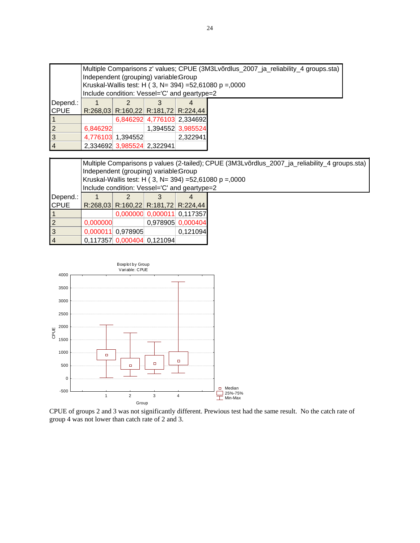|                |          | Multiple Comparisons z' values; CPUE (3M3Lvõrdlus_2007_ja_reliability_4 groups.sta)<br>Independent (grouping) variable:Group |                            |                                              |  |  |  |  |  |
|----------------|----------|------------------------------------------------------------------------------------------------------------------------------|----------------------------|----------------------------------------------|--|--|--|--|--|
|                |          | Kruskal-Wallis test: H (3, N= 394) =52,61080 p =,0000                                                                        |                            |                                              |  |  |  |  |  |
|                |          |                                                                                                                              |                            | Include condition: Vessel='C' and geartype=2 |  |  |  |  |  |
| Depend.:       |          |                                                                                                                              |                            |                                              |  |  |  |  |  |
| <b>CPUE</b>    |          |                                                                                                                              |                            | R:268,03 R:160,22 R:181,72 R:224,44          |  |  |  |  |  |
|                |          |                                                                                                                              |                            | 6,846292 4,776103 2,334692                   |  |  |  |  |  |
| $\overline{2}$ | 6,846292 |                                                                                                                              |                            | 1,394552 3,985524                            |  |  |  |  |  |
| $\overline{3}$ |          | 2,322941<br>4,776103 1,394552                                                                                                |                            |                                              |  |  |  |  |  |
| $\overline{4}$ |          |                                                                                                                              | 2,334692 3,985524 2,322941 |                                              |  |  |  |  |  |

|                | Multiple Comparisons p values (2-tailed); CPUE (3M3Lvõrdlus_2007_ja_reliability_4 groups.sta)<br>Independent (grouping) variable:Group<br>Kruskal-Wallis test: H (3, N= 394) =52,61080 p =,0000<br>Include condition: Vessel='C' and geartype=2 |                            |  |                                     |  |  |  |  |
|----------------|-------------------------------------------------------------------------------------------------------------------------------------------------------------------------------------------------------------------------------------------------|----------------------------|--|-------------------------------------|--|--|--|--|
| Depend.:       |                                                                                                                                                                                                                                                 |                            |  |                                     |  |  |  |  |
| <b>CPUE</b>    |                                                                                                                                                                                                                                                 |                            |  | R:268,03 R:160,22 R:181,72 R:224,44 |  |  |  |  |
|                |                                                                                                                                                                                                                                                 |                            |  | 0,000000 0,000011 0,117357          |  |  |  |  |
| $\overline{2}$ | 0,000000                                                                                                                                                                                                                                        |                            |  | 0,978905 0,000404                   |  |  |  |  |
| $\overline{3}$ |                                                                                                                                                                                                                                                 | 0,000011 0,978905          |  | 0.121094                            |  |  |  |  |
| $\overline{4}$ |                                                                                                                                                                                                                                                 | 0,117357 0,000404 0,121094 |  |                                     |  |  |  |  |



CPUE of groups 2 and 3 was not significantly different. Prewious test had the same result. No the catch rate of group 4 was not lower than catch rate of 2 and 3.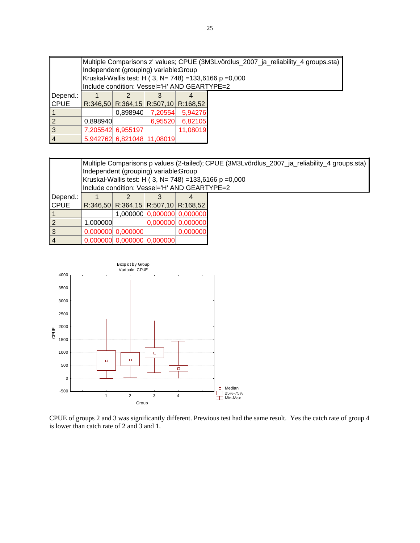|                | Multiple Comparisons z' values; CPUE (3M3Lvõrdlus_2007_ja_reliability_4 groups.sta)<br>Independent (grouping) variable:Group<br>Kruskal-Wallis test: H (3, N= 748) = 133,6166 p = 0,000<br>Include condition: Vessel='H' AND GEARTYPE=2 |                               |                                  |          |  |  |  |  |  |
|----------------|-----------------------------------------------------------------------------------------------------------------------------------------------------------------------------------------------------------------------------------------|-------------------------------|----------------------------------|----------|--|--|--|--|--|
| Depend.:       |                                                                                                                                                                                                                                         |                               |                                  |          |  |  |  |  |  |
| <b>CPUE</b>    |                                                                                                                                                                                                                                         |                               | $R:346,50$ $R:364,15$ $R:507,10$ | R:168.52 |  |  |  |  |  |
|                |                                                                                                                                                                                                                                         | 0.898940                      | 7,20554                          | 5,94276  |  |  |  |  |  |
| $\overline{2}$ | 0,898940                                                                                                                                                                                                                                |                               | 6,95520                          | 6,82105  |  |  |  |  |  |
| l3             |                                                                                                                                                                                                                                         | 11,08019<br>7,205542 6,955197 |                                  |          |  |  |  |  |  |
| <b>4</b>       |                                                                                                                                                                                                                                         |                               | 5,942762 6,821048 11,08019       |          |  |  |  |  |  |

|             |          | Multiple Comparisons p values (2-tailed); CPUE (3M3Lvõrdlus_2007_ja_reliability_4 groups.sta)<br>Independent (grouping) variable:Group<br>Kruskal-Wallis test: H (3, N= 748) = 133,6166 p = 0,000<br>Include condition: Vessel='H' AND GEARTYPE=2 |          |                            |  |  |  |  |  |  |
|-------------|----------|---------------------------------------------------------------------------------------------------------------------------------------------------------------------------------------------------------------------------------------------------|----------|----------------------------|--|--|--|--|--|--|
| Depend.:    |          |                                                                                                                                                                                                                                                   |          |                            |  |  |  |  |  |  |
| <b>CPUE</b> |          | R:346,50 R:364,15 R:507,10 R:168,52                                                                                                                                                                                                               |          |                            |  |  |  |  |  |  |
|             |          |                                                                                                                                                                                                                                                   |          | 1,000000 0,000000 0,000000 |  |  |  |  |  |  |
| 2           | 1,000000 |                                                                                                                                                                                                                                                   |          | 0,000000 0,000000          |  |  |  |  |  |  |
| 3           |          | $0,000000$ 0,000000                                                                                                                                                                                                                               | 0,000000 |                            |  |  |  |  |  |  |
| 4           |          | $0,000000$ 0,000000 0,000000                                                                                                                                                                                                                      |          |                            |  |  |  |  |  |  |



CPUE of groups 2 and 3 was significantly different. Prewious test had the same result. Yes the catch rate of group 4 is lower than catch rate of 2 and 3 and 1.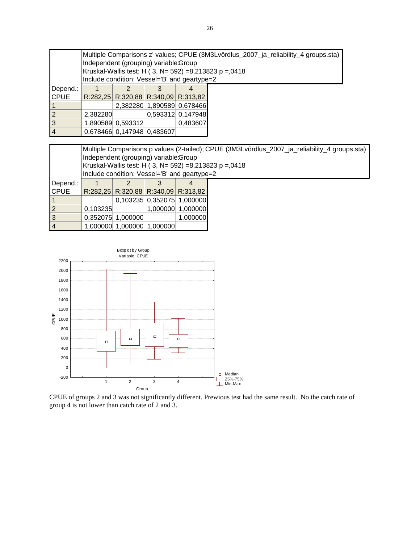|                | Multiple Comparisons z' values; CPUE (3M3Lvõrdlus_2007_ja_reliability_4 groups.sta)<br>Independent (grouping) variable:Group<br>Kruskal-Wallis test: H (3, N= 592) =8,213823 p =,0418<br>Include condition: Vessel='B' and geartype=2 |                               |  |                                     |  |  |  |  |  |
|----------------|---------------------------------------------------------------------------------------------------------------------------------------------------------------------------------------------------------------------------------------|-------------------------------|--|-------------------------------------|--|--|--|--|--|
| Depend.:       |                                                                                                                                                                                                                                       |                               |  |                                     |  |  |  |  |  |
| <b>CPUE</b>    |                                                                                                                                                                                                                                       |                               |  | R:282,25 R:320,88 R:340,09 R:313,82 |  |  |  |  |  |
|                |                                                                                                                                                                                                                                       |                               |  | 2,382280 1,890589 0,678466          |  |  |  |  |  |
| 12             | 2,382280                                                                                                                                                                                                                              | 0,593312 0,147948             |  |                                     |  |  |  |  |  |
| Iз             |                                                                                                                                                                                                                                       | 1,890589 0,593312<br>0.483607 |  |                                     |  |  |  |  |  |
| $\overline{4}$ |                                                                                                                                                                                                                                       | 0,678466 0,147948 0,483607    |  |                                     |  |  |  |  |  |

|                |                                       | Multiple Comparisons p values (2-tailed); CPUE (3M3Lvõrdlus_2007_ja_reliability_4 groups.sta) |                            |                                              |                                                       |  |  |  |  |  |
|----------------|---------------------------------------|-----------------------------------------------------------------------------------------------|----------------------------|----------------------------------------------|-------------------------------------------------------|--|--|--|--|--|
|                | Independent (grouping) variable:Group |                                                                                               |                            |                                              |                                                       |  |  |  |  |  |
|                |                                       |                                                                                               |                            |                                              | Kruskal-Wallis test: H (3, N= 592) =8,213823 p =,0418 |  |  |  |  |  |
|                |                                       |                                                                                               |                            | Include condition: Vessel='B' and geartype=2 |                                                       |  |  |  |  |  |
| Depend.:       |                                       |                                                                                               |                            |                                              |                                                       |  |  |  |  |  |
| <b>ICPUE</b>   |                                       |                                                                                               |                            | R:282,25 R:320,88 R:340,09 R:313,82          |                                                       |  |  |  |  |  |
|                |                                       |                                                                                               |                            | 0,103235 0,352075 1,000000                   |                                                       |  |  |  |  |  |
| $\overline{2}$ | 0,103235                              |                                                                                               |                            | 1,000000 1,000000                            |                                                       |  |  |  |  |  |
| 3              |                                       | 0,352075 1,000000                                                                             |                            | 1.000000                                     |                                                       |  |  |  |  |  |
| $\overline{4}$ |                                       |                                                                                               | 1.000000 1.000000 1.000000 |                                              |                                                       |  |  |  |  |  |



CPUE of groups 2 and 3 was not significantly different. Prewious test had the same result. No the catch rate of group 4 is not lower than catch rate of 2 and 3.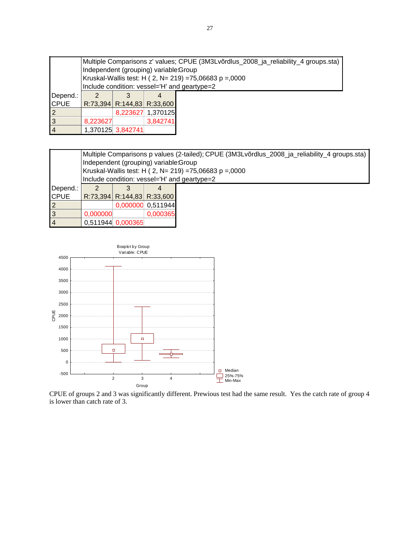|                | Multiple Comparisons z' values; CPUE (3M3Lvõrdlus_2008_ja_reliability_4 groups.sta)<br>Independent (grouping) variable:Group<br>Kruskal-Wallis test: H ( 2, N= 219) =75,06683 p =,0000 |                                              |                            |  |  |  |  |  |  |
|----------------|----------------------------------------------------------------------------------------------------------------------------------------------------------------------------------------|----------------------------------------------|----------------------------|--|--|--|--|--|--|
|                |                                                                                                                                                                                        | Include condition: vessel='H' and geartype=2 |                            |  |  |  |  |  |  |
| Depend.:       |                                                                                                                                                                                        |                                              |                            |  |  |  |  |  |  |
| <b>CPUE</b>    |                                                                                                                                                                                        |                                              | R:73,394 R:144,83 R:33,600 |  |  |  |  |  |  |
|                |                                                                                                                                                                                        |                                              | 8,223627 1,370125          |  |  |  |  |  |  |
| $\overline{3}$ | 8,223627                                                                                                                                                                               |                                              | 3,842741                   |  |  |  |  |  |  |
| $\overline{4}$ |                                                                                                                                                                                        | 1,370125 3,842741                            |                            |  |  |  |  |  |  |

|                |                                       | Multiple Comparisons p values (2-tailed); CPUE (3M3Lvõrdlus_2008_ja_reliability_4 groups.sta) |                            |  |  |  |  |  |  |
|----------------|---------------------------------------|-----------------------------------------------------------------------------------------------|----------------------------|--|--|--|--|--|--|
|                | Independent (grouping) variable:Group |                                                                                               |                            |  |  |  |  |  |  |
|                |                                       | Kruskal-Wallis test: H ( 2, N= 219) = 75,06683 p = 0000                                       |                            |  |  |  |  |  |  |
|                |                                       | Include condition: vessel='H' and geartype=2                                                  |                            |  |  |  |  |  |  |
| Depend.:       |                                       |                                                                                               |                            |  |  |  |  |  |  |
| <b>CPUE</b>    |                                       |                                                                                               | R:73,394 R:144,83 R:33,600 |  |  |  |  |  |  |
| $\overline{2}$ |                                       |                                                                                               | 0,000000 0,511944          |  |  |  |  |  |  |
| $\overline{3}$ | 0,000000                              |                                                                                               | 0,000365                   |  |  |  |  |  |  |
| $\overline{4}$ |                                       | 0,511944 0,000365                                                                             |                            |  |  |  |  |  |  |



CPUE of groups 2 and 3 was significantly different. Prewious test had the same result. Yes the catch rate of group 4 is lower than catch rate of 3.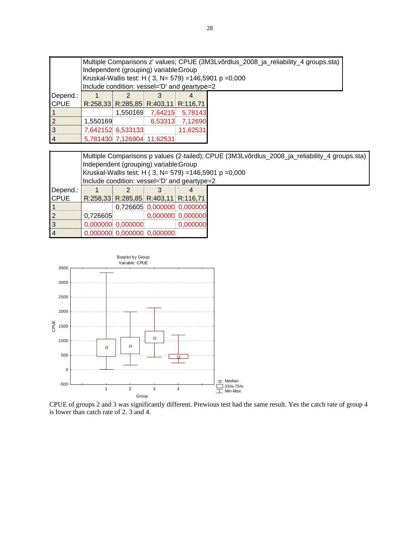|                |                                       | Multiple Comparisons z' values; CPUE (3M3Lvõrdlus_2008_ja_reliability_4 groups.sta) |                                             |                                              |  |  |  |  |  |  |
|----------------|---------------------------------------|-------------------------------------------------------------------------------------|---------------------------------------------|----------------------------------------------|--|--|--|--|--|--|
|                | Independent (grouping) variable:Group |                                                                                     |                                             |                                              |  |  |  |  |  |  |
|                |                                       | Kruskal-Wallis test: H (3, N= 579) = 146,5901 p = 0,000                             |                                             |                                              |  |  |  |  |  |  |
|                |                                       |                                                                                     |                                             | Include condition: vessel='D' and geartype=2 |  |  |  |  |  |  |
| Depend.:       |                                       |                                                                                     |                                             |                                              |  |  |  |  |  |  |
| <b>CPUE</b>    |                                       |                                                                                     | $R:258,33$ $R:285,85$ $R:403,11$ $R:116,71$ |                                              |  |  |  |  |  |  |
|                |                                       | 1.550169                                                                            | 7,64215                                     | 5.78143                                      |  |  |  |  |  |  |
| $\overline{2}$ | 1,550169                              |                                                                                     | 6,53313                                     | 7,12690                                      |  |  |  |  |  |  |
| $\overline{3}$ |                                       | 7,642152 6,533133                                                                   |                                             | 11.62531                                     |  |  |  |  |  |  |
| $\overline{4}$ |                                       |                                                                                     | 5,781430 7,126904 11,62531                  |                                              |  |  |  |  |  |  |

|                | Multiple Comparisons p values (2-tailed); CPUE (3M3Lvõrdlus_2008_ja_reliability_4 groups.sta)<br>Independent (grouping) variable: Group<br>Kruskal-Wallis test: H ( 3, N= 579) = 146,5901 p = 0,000<br>Include condition: vessel='D' and geartype=2 |                            |  |                                     |  |  |  |  |
|----------------|-----------------------------------------------------------------------------------------------------------------------------------------------------------------------------------------------------------------------------------------------------|----------------------------|--|-------------------------------------|--|--|--|--|
| Depend.:       |                                                                                                                                                                                                                                                     |                            |  |                                     |  |  |  |  |
| <b>CPUE</b>    |                                                                                                                                                                                                                                                     |                            |  | R:258,33 R:285,85 R:403,11 R:116,71 |  |  |  |  |
|                |                                                                                                                                                                                                                                                     |                            |  | 0,726605 0,000000 0,000000          |  |  |  |  |
| $\overline{2}$ | 0,726605                                                                                                                                                                                                                                            |                            |  | 0,000000 0,000000                   |  |  |  |  |
| $\overline{3}$ |                                                                                                                                                                                                                                                     | $0,000000$ 0,000000        |  | 0,000000                            |  |  |  |  |
| $\vert 4$      |                                                                                                                                                                                                                                                     | 0,000000 0,000000 0,000000 |  |                                     |  |  |  |  |



CPUE of groups 2 and 3 was significantly different. Prewious test had the same result. Yes the catch rate of group 4 is lower than catch rate of 2. 3 and 4.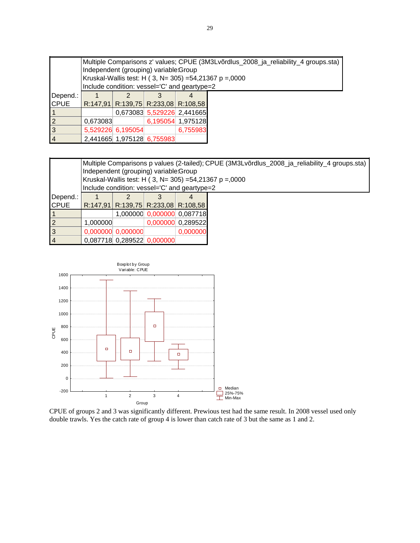|                | Multiple Comparisons z' values; CPUE (3M3Lvõrdlus_2008_ja_reliability_4 groups.sta) |                                              |                            |                            |  |  |  |  |  |  |
|----------------|-------------------------------------------------------------------------------------|----------------------------------------------|----------------------------|----------------------------|--|--|--|--|--|--|
|                | Independent (grouping) variable:Group                                               |                                              |                            |                            |  |  |  |  |  |  |
|                | Kruskal-Wallis test: H (3, N= 305) =54,21367 p =,0000                               |                                              |                            |                            |  |  |  |  |  |  |
|                |                                                                                     | Include condition: vessel='C' and geartype=2 |                            |                            |  |  |  |  |  |  |
| Depend.:       |                                                                                     |                                              |                            |                            |  |  |  |  |  |  |
| <b>CPUE</b>    |                                                                                     | R:147,91 R:139,75 R:233,08 R:108,58          |                            |                            |  |  |  |  |  |  |
|                |                                                                                     |                                              |                            | 0,673083 5,529226 2,441665 |  |  |  |  |  |  |
| $\overline{2}$ | 0.673083                                                                            |                                              |                            | 6,195054 1,975128          |  |  |  |  |  |  |
| $\overline{3}$ |                                                                                     | 5,529226 6,195054                            |                            | 6,755983                   |  |  |  |  |  |  |
| $\overline{4}$ |                                                                                     |                                              | 2,441665 1,975128 6,755983 |                            |  |  |  |  |  |  |

|                | Multiple Comparisons p values (2-tailed); CPUE (3M3Lvõrdlus_2008_ja_reliability_4 groups.sta)<br>Independent (grouping) variable: Group<br>Kruskal-Wallis test: H ( 3, N= 305) =54,21367 p =,0000<br>Include condition: vessel='C' and geartype=2 |                            |  |                                     |  |  |  |  |
|----------------|---------------------------------------------------------------------------------------------------------------------------------------------------------------------------------------------------------------------------------------------------|----------------------------|--|-------------------------------------|--|--|--|--|
| Depend.:       |                                                                                                                                                                                                                                                   |                            |  |                                     |  |  |  |  |
| <b>CPUE</b>    |                                                                                                                                                                                                                                                   |                            |  | R:147,91 R:139,75 R:233,08 R:108,58 |  |  |  |  |
|                |                                                                                                                                                                                                                                                   |                            |  | 1,000000 0,000000 0,087718          |  |  |  |  |
| $\overline{2}$ | 1,000000                                                                                                                                                                                                                                          |                            |  | 0,000000 0,289522                   |  |  |  |  |
| $\overline{3}$ |                                                                                                                                                                                                                                                   | $0,000000$ 0,000000        |  | 0,000000                            |  |  |  |  |
| <b>4</b>       |                                                                                                                                                                                                                                                   | 0,087718 0,289522 0,000000 |  |                                     |  |  |  |  |



CPUE of groups 2 and 3 was significantly different. Prewious test had the same result. In 2008 vessel used only double trawls. Yes the catch rate of group 4 is lower than catch rate of 3 but the same as 1 and 2.